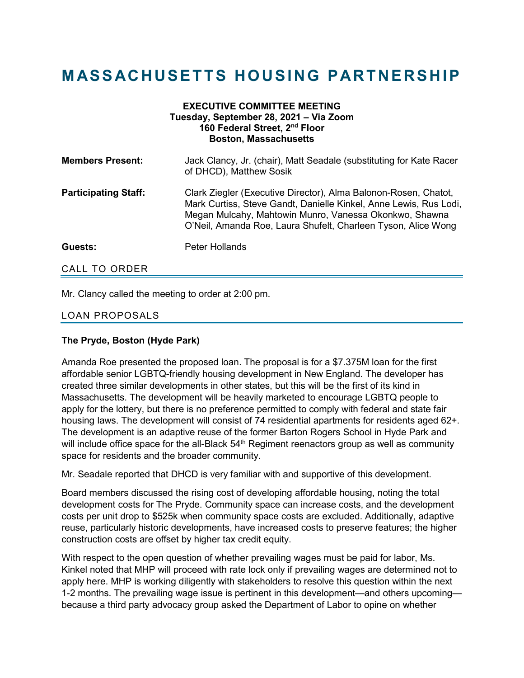## **MASSACHUSETTS HOUSING PARTNERSHIP**

| <b>EXECUTIVE COMMITTEE MEETING</b><br>Tuesday, September 28, 2021 - Via Zoom<br>160 Federal Street, 2nd Floor<br><b>Boston, Massachusetts</b> |                                                                                                                                                                                                                                                                 |
|-----------------------------------------------------------------------------------------------------------------------------------------------|-----------------------------------------------------------------------------------------------------------------------------------------------------------------------------------------------------------------------------------------------------------------|
| <b>Members Present:</b>                                                                                                                       | Jack Clancy, Jr. (chair), Matt Seadale (substituting for Kate Racer<br>of DHCD), Matthew Sosik                                                                                                                                                                  |
| <b>Participating Staff:</b>                                                                                                                   | Clark Ziegler (Executive Director), Alma Balonon-Rosen, Chatot,<br>Mark Curtiss, Steve Gandt, Danielle Kinkel, Anne Lewis, Rus Lodi,<br>Megan Mulcahy, Mahtowin Munro, Vanessa Okonkwo, Shawna<br>O'Neil, Amanda Roe, Laura Shufelt, Charleen Tyson, Alice Wong |
| Guests:                                                                                                                                       | <b>Peter Hollands</b>                                                                                                                                                                                                                                           |
| <b>CALL TO ORDER</b>                                                                                                                          |                                                                                                                                                                                                                                                                 |

Mr. Clancy called the meeting to order at 2:00 pm.

## LOAN PROPOSALS

## **The Pryde, Boston (Hyde Park)**

Amanda Roe presented the proposed loan. The proposal is for a \$7.375M loan for the first affordable senior LGBTQ-friendly housing development in New England. The developer has created three similar developments in other states, but this will be the first of its kind in Massachusetts. The development will be heavily marketed to encourage LGBTQ people to apply for the lottery, but there is no preference permitted to comply with federal and state fair housing laws. The development will consist of 74 residential apartments for residents aged 62+. The development is an adaptive reuse of the former Barton Rogers School in Hyde Park and will include office space for the all-Black  $54<sup>th</sup>$  Regiment reenactors group as well as community space for residents and the broader community.

Mr. Seadale reported that DHCD is very familiar with and supportive of this development.

Board members discussed the rising cost of developing affordable housing, noting the total development costs for The Pryde. Community space can increase costs, and the development costs per unit drop to \$525k when community space costs are excluded. Additionally, adaptive reuse, particularly historic developments, have increased costs to preserve features; the higher construction costs are offset by higher tax credit equity.

With respect to the open question of whether prevailing wages must be paid for labor, Ms. Kinkel noted that MHP will proceed with rate lock only if prevailing wages are determined not to apply here. MHP is working diligently with stakeholders to resolve this question within the next 1-2 months. The prevailing wage issue is pertinent in this development—and others upcoming because a third party advocacy group asked the Department of Labor to opine on whether